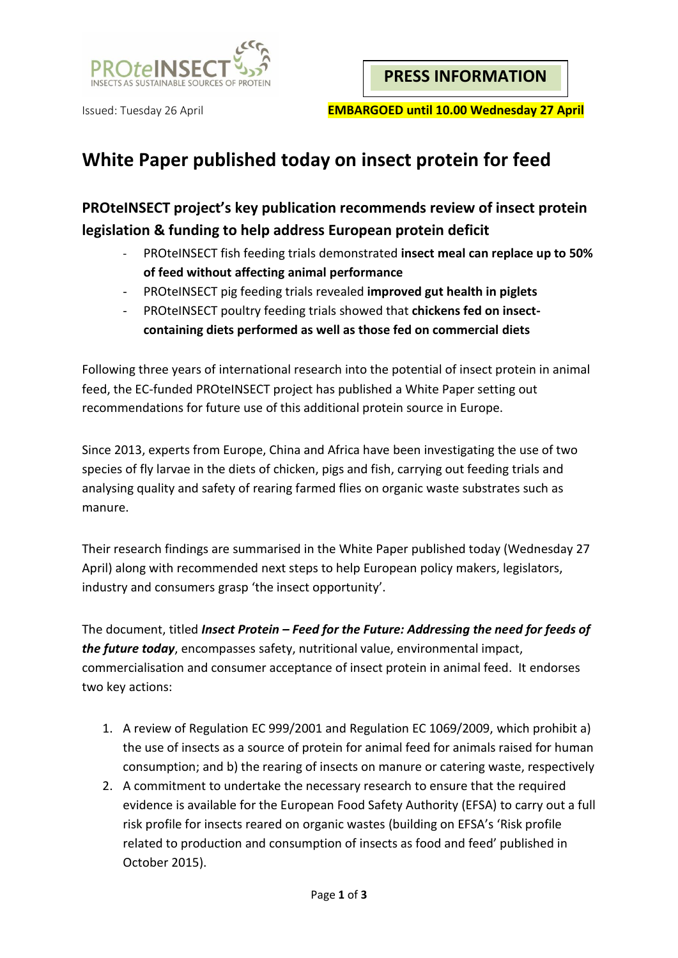

# **White Paper published today on insect protein for feed**

## **PROteINSECT project's key publication recommends review of insect protein legislation & funding to help address European protein deficit**

- PROteINSECT fish feeding trials demonstrated **insect meal can replace up to 50% of feed without affecting animal performance**
- PROteINSECT pig feeding trials revealed **improved gut health in piglets**
- PROteINSECT poultry feeding trials showed that **chickens fed on insectcontaining diets performed as well as those fed on commercial diets**

Following three years of international research into the potential of insect protein in animal feed, the EC-funded PROteINSECT project has published a White Paper setting out recommendations for future use of this additional protein source in Europe.

Since 2013, experts from Europe, China and Africa have been investigating the use of two species of fly larvae in the diets of chicken, pigs and fish, carrying out feeding trials and analysing quality and safety of rearing farmed flies on organic waste substrates such as manure.

Their research findings are summarised in the White Paper published today (Wednesday 27 April) along with recommended next steps to help European policy makers, legislators, industry and consumers grasp 'the insect opportunity'.

The document, titled *Insect Protein – Feed for the Future: Addressing the need for feeds of the future today*, encompasses safety, nutritional value, environmental impact, commercialisation and consumer acceptance of insect protein in animal feed. It endorses two key actions:

- 1. A review of Regulation EC 999/2001 and Regulation EC 1069/2009, which prohibit a) the use of insects as a source of protein for animal feed for animals raised for human consumption; and b) the rearing of insects on manure or catering waste, respectively
- 2. A commitment to undertake the necessary research to ensure that the required evidence is available for the European Food Safety Authority (EFSA) to carry out a full risk profile for insects reared on organic wastes (building on EFSA's 'Risk profile related to production and consumption of insects as food and feed' published in October 2015).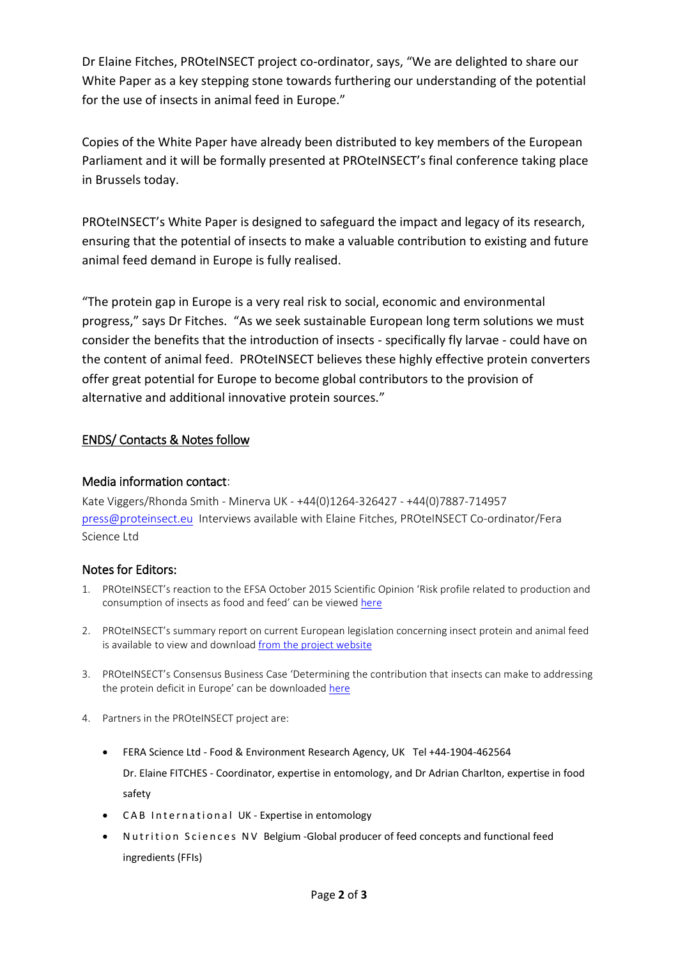Dr Elaine Fitches, PROteINSECT project co-ordinator, says, "We are delighted to share our White Paper as a key stepping stone towards furthering our understanding of the potential for the use of insects in animal feed in Europe."

Copies of the White Paper have already been distributed to key members of the European Parliament and it will be formally presented at PROteINSECT's final conference taking place in Brussels today.

PROteINSECT's White Paper is designed to safeguard the impact and legacy of its research, ensuring that the potential of insects to make a valuable contribution to existing and future animal feed demand in Europe is fully realised.

"The protein gap in Europe is a very real risk to social, economic and environmental progress," says Dr Fitches. "As we seek sustainable European long term solutions we must consider the benefits that the introduction of insects - specifically fly larvae - could have on the content of animal feed. PROteINSECT believes these highly effective protein converters offer great potential for Europe to become global contributors to the provision of alternative and additional innovative protein sources."

### ENDS/ Contacts & Notes follow

#### Media information contact:

Kate Viggers/Rhonda Smith - Minerva UK - +44(0)1264-326427 - +44(0)7887-714957 [press@proteinsect.eu](mailto:press@proteinsect.eu) Interviews available with Elaine Fitches, PROteINSECT Co-ordinator/Fera Science Ltd

### Notes for Editors:

- 1. PROteINSECT's reaction to the EFSA October 2015 Scientific Opinion 'Risk profile related to production and consumption of insects as food and feed' can be viewed [here](http://www.proteinsect.eu/fileadmin/user_upload/press/151008-PI-PR16-EFSA-InitialResponse-Final__002_.pdf)
- 2. PROteINSECT's summary report on current European legislation concerning insect protein and animal feed is available to view and download [from the project website](http://www.proteinsect.eu/fileadmin/user_upload/deliverables/D5.1t-FINAL.pdf)
- 3. PROteINSECT's Consensus Business Case 'Determining the contribution that insects can make to addressing the protein deficit in Europe' can be downloaded [here](http://www.proteinsect.eu/fileadmin/user_upload/deliverables/PROteINSECT_CBC_FINALv1.pdf)
- 4. Partners in the PROteINSECT project are:
	- FERA Science Ltd Food & Environment Research Agency, UK Tel +44-1904-462564 Dr. Elaine FITCHES - Coordinator, expertise in entomology, and Dr Adrian Charlton, expertise in food safety
	- CAB International UK Expertise in entomology
	- Nutrition Sciences NV Belgium Global producer of feed concepts and functional feed ingredients (FFIs)